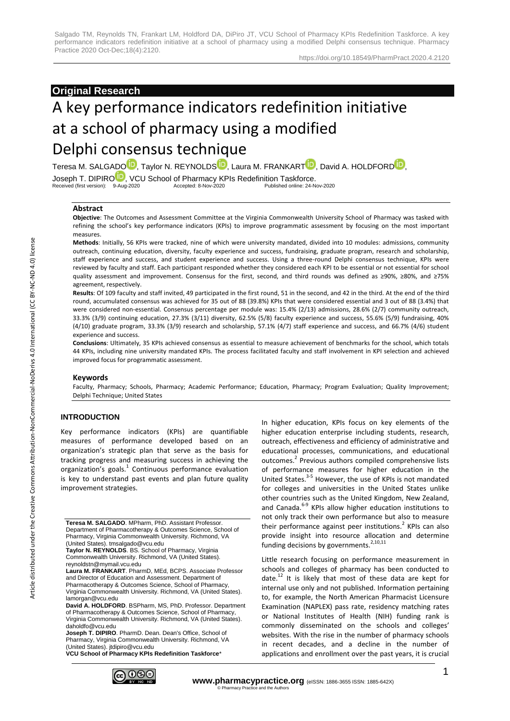# **Original Research**

# A key performance indicators redefinition initiative at a school of pharmacy using a modified Delphi consensus technique

Teresa M. SALGAD[O](https://orcid.org/0000-0003-2708-7145)<sup>ID</sup>, Taylor N. REYNOLD[S](https://orcid.org/0000-0003-3330-7781)<sup>ID</sup>, Laura M. FRANKAR[T](https://orcid.org/0000-0002-7337-0323)<sup>I[D](https://orcid.org/0000-0001-7661-9326)</sup>, David A. HOLDFORD<sup>ID</sup>, Joseph T. DIPIR[O](https://orcid.org/0000-0002-5442-0129)<sup>TD</sup>, VCU School of Pharmacy KPIs Redefinition Taskforce.<br>Received (first version): 9-Aug-2020<br>Accepted: 8-Nov-2020<br>Published online: 24-Nov-2020 Received (first version): 9-Aug-2020 Accepted: 8-Nov-2020 Published online: 24-Nov-2020

#### **Abstract**

**Objective**: The Outcomes and Assessment Committee at the Virginia Commonwealth University School of Pharmacy was tasked with refining the school's key performance indicators (KPIs) to improve programmatic assessment by focusing on the most important measures.

**Methods**: Initially, 56 KPIs were tracked, nine of which were university mandated, divided into 10 modules: admissions, community outreach, continuing education, diversity, faculty experience and success, fundraising, graduate program, research and scholarship, staff experience and success, and student experience and success. Using a three-round Delphi consensus technique, KPIs were reviewed by faculty and staff. Each participant responded whether they considered each KPI to be essential or not essential for school quality assessment and improvement. Consensus for the first, second, and third rounds was defined as ≥90%, ≥80%, and ≥75% agreement, respectively.

**Results**: Of 109 faculty and staff invited, 49 participated in the first round, 51 in the second, and 42 in the third. At the end of the third round, accumulated consensus was achieved for 35 out of 88 (39.8%) KPIs that were considered essential and 3 out of 88 (3.4%) that were considered non-essential. Consensus percentage per module was: 15.4% (2/13) admissions, 28.6% (2/7) community outreach, 33.3% (3/9) continuing education, 27.3% (3/11) diversity, 62.5% (5/8) faculty experience and success, 55.6% (5/9) fundraising, 40% (4/10) graduate program, 33.3% (3/9) research and scholarship, 57.1% (4/7) staff experience and success, and 66.7% (4/6) student experience and success.

**Conclusions**: Ultimately, 35 KPIs achieved consensus as essential to measure achievement of benchmarks for the school, which totals 44 KPIs, including nine university mandated KPIs. The process facilitated faculty and staff involvement in KPI selection and achieved improved focus for programmatic assessment.

#### **Keywords**

Faculty, Pharmacy; Schools, Pharmacy; Academic Performance; Education, Pharmacy; Program Evaluation; Quality Improvement; Delphi Technique; United States

## **INTRODUCTION**

Key performance indicators (KPIs) are quantifiable measures of performance developed based on an organization's strategic plan that serve as the basis for tracking progress and measuring success in achieving the organization's goals.<sup>1</sup> Continuous performance evaluation is key to understand past events and plan future quality improvement strategies.

**Teresa M. SALGADO**. MPharm, PhD. Assistant Professor. Department of Pharmacotherapy & Outcomes Science, School of Pharmacy, Virginia Commonwealth University. Richmond, VA (United States). tmsalgado@vcu.edu

**Taylor N. REYNOLDS**. BS. School of Pharmacy, Virginia Commonwealth University. Richmond, VA (United States). reynoldstn@mymail.vcu.edu

**Laura M. FRANKART**. PharmD, MEd, BCPS. Associate Professor and Director of Education and Assessment. Department of Pharmacotherapy & Outcomes Science, School of Pharmacy, Virginia Commonwealth University. Richmond, VA (United States). lamorgan@vcu.edu

**David A. HOLDFORD**. BSPharm, MS, PhD. Professor. Department of Pharmacotherapy & Outcomes Science, School of Pharmacy, Virginia Commonwealth University. Richmond, VA (United States). daholdfo@vcu.edu

**Joseph T. DIPIRO**. PharmD. Dean. Dean's Office, School of Pharmacy, Virginia Commonwealth University. Richmond, VA (United States). jtdipiro@vcu.edu

**VCU School of Pharmacy KPIs Redefinition Taskforce**\*

In higher education, KPIs focus on key elements of the higher education enterprise including students, research, outreach, effectiveness and efficiency of administrative and educational processes, communications, and educational outcomes.<sup>2</sup> Previous authors compiled comprehensive lists of performance measures for higher education in the United States.<sup>3-5</sup> However, the use of KPIs is not mandated for colleges and universities in the United States unlike other countries such as the United Kingdom, New Zealand, and Canada.<sup>6-9</sup> KPIs allow higher education institutions to not only track their own performance but also to measure their performance against peer institutions. $2$  KPIs can also provide insight into resource allocation and determine funding decisions by governments. $2,10,11$ 

Little research focusing on performance measurement in schools and colleges of pharmacy has been conducted to date. $12$  It is likely that most of these data are kept for internal use only and not published. Information pertaining to, for example, the North American Pharmacist Licensure Examination (NAPLEX) pass rate, residency matching rates or National Institutes of Health (NIH) funding rank is commonly disseminated on the schools and colleges' websites. With the rise in the number of pharmacy schools in recent decades, and a decline in the number of applications and enrollment over the past years, it is crucial

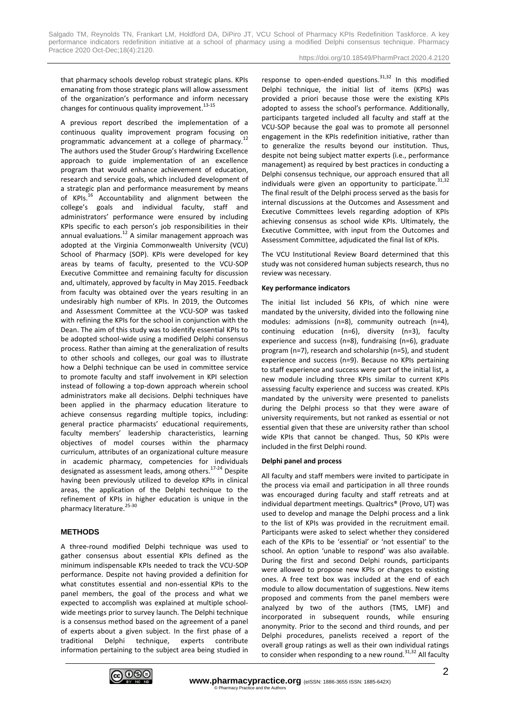that pharmacy schools develop robust strategic plans. KPIs emanating from those strategic plans will allow assessment of the organization's performance and inform necessary changes for continuous quality improvement. $13-15$ 

A previous report described the implementation of a continuous quality improvement program focusing on programmatic advancement at a college of pharmacy.<sup>12</sup> The authors used the Studer Group's Hardwiring Excellence approach to guide implementation of an excellence program that would enhance achievement of education, research and service goals, which included development of a strategic plan and performance measurement by means of KPIs.<sup>16</sup> Accountability and alignment between the college's goals and individual faculty, staff and administrators' performance were ensured by including KPIs specific to each person's job responsibilities in their annual evaluations. $12$  A similar management approach was adopted at the Virginia Commonwealth University (VCU) School of Pharmacy (SOP). KPIs were developed for key areas by teams of faculty, presented to the VCU-SOP Executive Committee and remaining faculty for discussion and, ultimately, approved by faculty in May 2015. Feedback from faculty was obtained over the years resulting in an undesirably high number of KPIs. In 2019, the Outcomes and Assessment Committee at the VCU-SOP was tasked with refining the KPIs for the school in conjunction with the Dean. The aim of this study was to identify essential KPIs to be adopted school-wide using a modified Delphi consensus process. Rather than aiming at the generalization of results to other schools and colleges, our goal was to illustrate how a Delphi technique can be used in committee service to promote faculty and staff involvement in KPI selection instead of following a top-down approach wherein school administrators make all decisions. Delphi techniques have been applied in the pharmacy education literature to achieve consensus regarding multiple topics, including: general practice pharmacists' educational requirements, faculty members' leadership characteristics, learning objectives of model courses within the pharmacy curriculum, attributes of an organizational culture measure in academic pharmacy, competencies for individuals designated as assessment leads, among others.<sup>17-24</sup> Despite having been previously utilized to develop KPIs in clinical areas, the application of the Delphi technique to the refinement of KPIs in higher education is unique in the pharmacy literature. $25-30$ 

## **METHODS**

A three-round modified Delphi technique was used to gather consensus about essential KPIs defined as the minimum indispensable KPIs needed to track the VCU-SOP performance. Despite not having provided a definition for what constitutes essential and non-essential KPIs to the panel members, the goal of the process and what we expected to accomplish was explained at multiple schoolwide meetings prior to survey launch. The Delphi technique is a consensus method based on the agreement of a panel of experts about a given subject. In the first phase of a traditional Delphi technique, experts contribute information pertaining to the subject area being studied in response to open-ended questions. $31,32$  In this modified Delphi technique, the initial list of items (KPIs) was provided a priori because those were the existing KPIs adopted to assess the school's performance. Additionally, participants targeted included all faculty and staff at the VCU-SOP because the goal was to promote all personnel engagement in the KPIs redefinition initiative, rather than to generalize the results beyond our institution. Thus, despite not being subject matter experts (i.e., performance management) as required by best practices in conducting a Delphi consensus technique, our approach ensured that all individuals were given an opportunity to participate.  $31,32$ The final result of the Delphi process served as the basis for internal discussions at the Outcomes and Assessment and Executive Committees levels regarding adoption of KPIs achieving consensus as school wide KPIs. Ultimately, the Executive Committee, with input from the Outcomes and Assessment Committee, adjudicated the final list of KPIs.

The VCU Institutional Review Board determined that this study was not considered human subjects research, thus no review was necessary.

## **Key performance indicators**

The initial list included 56 KPIs, of which nine were mandated by the university, divided into the following nine modules: admissions (n=8), community outreach (n=4), continuing education (n=6), diversity (n=3), faculty experience and success (n=8), fundraising (n=6), graduate program (n=7), research and scholarship (n=5), and student experience and success (n=9). Because no KPIs pertaining to staff experience and success were part of the initial list, a new module including three KPIs similar to current KPIs assessing faculty experience and success was created. KPIs mandated by the university were presented to panelists during the Delphi process so that they were aware of university requirements, but not ranked as essential or not essential given that these are university rather than school wide KPIs that cannot be changed. Thus, 50 KPIs were included in the first Delphi round.

## **Delphi panel and process**

All faculty and staff members were invited to participate in the process via email and participation in all three rounds was encouraged during faculty and staff retreats and at individual department meetings. Qualtrics® (Provo, UT) was used to develop and manage the Delphi process and a link to the list of KPIs was provided in the recruitment email. Participants were asked to select whether they considered each of the KPIs to be 'essential' or 'not essential' to the school. An option 'unable to respond' was also available. During the first and second Delphi rounds, participants were allowed to propose new KPIs or changes to existing ones. A free text box was included at the end of each module to allow documentation of suggestions. New items proposed and comments from the panel members were analyzed by two of the authors (TMS, LMF) and incorporated in subsequent rounds, while ensuring anonymity. Prior to the second and third rounds, and per Delphi procedures, panelists received a report of the overall group ratings as well as their own individual ratings to consider when responding to a new round. $31,32$  All faculty

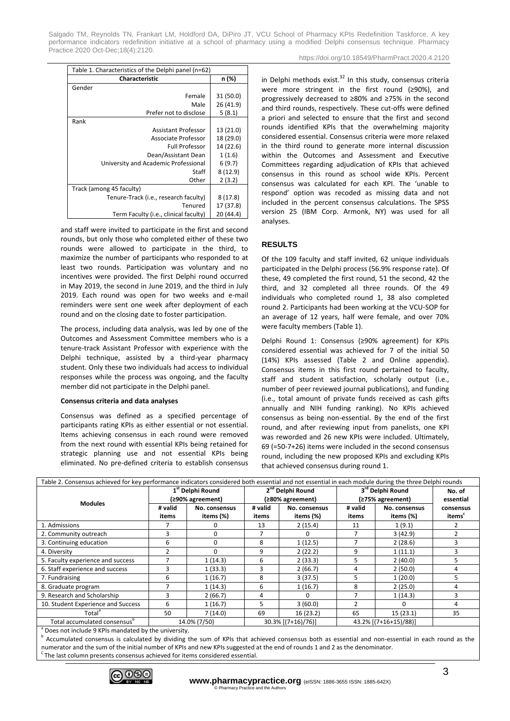Salgado TM, Reynolds TN, Frankart LM, Holdford DA, DiPiro JT, VCU School of Pharmacy KPIs Redefinition Taskforce. A key performance indicators redefinition initiative at a school of pharmacy using a modified Delphi consensus technique. Pharmacy Practice 2020 Oct-Dec;18(4):2120. https://doi.org/10.18549/PharmPract.2020.4.2120

| Table 1. Characteristics of the Delphi panel (n=62) |           |  |  |  |
|-----------------------------------------------------|-----------|--|--|--|
| <b>Characteristic</b>                               | n (%)     |  |  |  |
| Gender                                              |           |  |  |  |
| Female                                              | 31 (50.0) |  |  |  |
| Male                                                | 26 (41.9) |  |  |  |
| Prefer not to disclose                              | 5(8.1)    |  |  |  |
| Rank                                                |           |  |  |  |
| Assistant Professor                                 | 13 (21.0) |  |  |  |
| Associate Professor                                 | 18 (29.0) |  |  |  |
| <b>Full Professor</b>                               | 14 (22.6) |  |  |  |
| Dean/Assistant Dean                                 | 1(1.6)    |  |  |  |
| University and Academic Professional                | 6(9.7)    |  |  |  |
| Staff                                               | 8(12.9)   |  |  |  |
| Other                                               | 2(3.2)    |  |  |  |
| Track (among 45 faculty)                            |           |  |  |  |
| Tenure-Track (i.e., research faculty)               | 8(17.8)   |  |  |  |
| Tenured                                             | 17 (37.8) |  |  |  |
| Term Faculty (i.e., clinical faculty)               | 20 (44.4) |  |  |  |

and staff were invited to participate in the first and second rounds, but only those who completed either of these two rounds were allowed to participate in the third, to maximize the number of participants who responded to at least two rounds. Participation was voluntary and no incentives were provided. The first Delphi round occurred in May 2019, the second in June 2019, and the third in July 2019. Each round was open for two weeks and e-mail reminders were sent one week after deployment of each round and on the closing date to foster participation.

The process, including data analysis, was led by one of the Outcomes and Assessment Committee members who is a tenure-track Assistant Professor with experience with the Delphi technique, assisted by a third-year pharmacy student. Only these two individuals had access to individual responses while the process was ongoing, and the faculty member did not participate in the Delphi panel.

#### **Consensus criteria and data analyses**

Consensus was defined as a specified percentage of participants rating KPIs as either essential or not essential. Items achieving consensus in each round were removed from the next round with essential KPIs being retained for strategic planning use and not essential KPIs being eliminated. No pre-defined criteria to establish consensus in Delphi methods exist. $32$  In this study, consensus criteria were more stringent in the first round (≥90%), and progressively decreased to ≥80% and ≥75% in the second and third rounds, respectively. These cut-offs were defined a priori and selected to ensure that the first and second rounds identified KPIs that the overwhelming majority considered essential. Consensus criteria were more relaxed in the third round to generate more internal discussion within the Outcomes and Assessment and Executive Committees regarding adjudication of KPIs that achieved consensus in this round as school wide KPIs. Percent consensus was calculated for each KPI. The 'unable to respond' option was recoded as missing data and not included in the percent consensus calculations. The SPSS version 25 (IBM Corp. Armonk, NY) was used for all analyses.

## **RESULTS**

Of the 109 faculty and staff invited, 62 unique individuals participated in the Delphi process (56.9% response rate). Of these, 49 completed the first round, 51 the second, 42 the third, and 32 completed all three rounds. Of the 49 individuals who completed round 1, 38 also completed round 2. Participants had been working at the VCU-SOP for an average of 12 years, half were female, and over 70% were faculty members (Table 1).

Delphi Round 1: Consensus (≥90% agreement) for KPIs considered essential was achieved for 7 of the initial 50 (14%) KPIs assessed (Table 2 and Online appendix). Consensus items in this first round pertained to faculty, staff and student satisfaction, scholarly output (i.e., number of peer reviewed journal publications), and funding (i.e., total amount of private funds received as cash gifts annually and NIH funding ranking). No KPIs achieved consensus as being non-essential. By the end of the first round, and after reviewing input from panelists, one KPI was reworded and 26 new KPIs were included. Ultimately, 69 (=50-7+26) items were included in the second consensus round, including the new proposed KPIs and excluding KPIs that achieved consensus during round 1.

| Table 2. Consensus achieved for key performance indicators considered both essential and not essential in each module during the three Delphi rounds |                                                  |                            |                                                  |                            |                                      |                            |                     |
|------------------------------------------------------------------------------------------------------------------------------------------------------|--------------------------------------------------|----------------------------|--------------------------------------------------|----------------------------|--------------------------------------|----------------------------|---------------------|
| <b>Modules</b>                                                                                                                                       | 1 <sup>st</sup> Delphi Round<br>(≥90% agreement) |                            | 2 <sup>nd</sup> Delphi Round<br>(≥80% agreement) |                            | 3rd Delphi Round<br>(≥75% agreement) |                            | No. of<br>essential |
|                                                                                                                                                      | # valid<br>items                                 | No. consensus<br>items (%) | # valid<br>items                                 | No. consensus<br>items (%) | # valid<br>items                     | No. consensus<br>items (%) | consensus<br>items" |
| 1. Admissions                                                                                                                                        |                                                  |                            | 13                                               | 2(15.4)                    | 11                                   | 1(9.1)                     |                     |
| 2. Community outreach                                                                                                                                | 3                                                | 0                          |                                                  | <sup>0</sup>               |                                      | 3(42.9)                    |                     |
| 3. Continuing education                                                                                                                              | 6                                                | $\Omega$                   | 8                                                | 1(12.5)                    |                                      | 2(28.6)                    |                     |
| 4. Diversity                                                                                                                                         |                                                  | $\Omega$                   | 9                                                | 2(22.2)                    | 9                                    | 1(11.1)                    |                     |
| 5. Faculty experience and success                                                                                                                    |                                                  | 1(14.3)                    | 6                                                | 2(33.3)                    | 5                                    | 2(40.0)                    | 5                   |
| 6. Staff experience and success                                                                                                                      | 3                                                | 1(33.3)                    | 3                                                | 2(66.7)                    | 4                                    | 2(50.0)                    |                     |
| 7. Fundraising                                                                                                                                       | 6                                                | 1(16.7)                    | 8                                                | 3(37.5)                    | 5                                    | 1(20.0)                    |                     |
| 8. Graduate program                                                                                                                                  |                                                  | 1(14.3)                    | 6                                                | 1(16.7)                    | 8                                    | 2(25.0)                    | 4                   |
| 9. Research and Scholarship                                                                                                                          | 3                                                | 2(66.7)                    | 4                                                |                            |                                      | 1(14.3)                    |                     |
| 10. Student Experience and Success                                                                                                                   | 6                                                | 1(16.7)                    | 5                                                | 3(60.0)                    | 2                                    | <sup>0</sup>               | 4                   |
| Total <sup>ª</sup>                                                                                                                                   | 50                                               | 7(14.0)                    | 69                                               | 16(23.2)                   | 65                                   | 15(23.1)                   | 35                  |
| Total accumulated consensus <sup>b</sup><br>$a -$                                                                                                    |                                                  | 14.0% (7/50)               |                                                  | 30.3% [(7+16)/76)]         |                                      | 43.2% [(7+16+15)/88)]      |                     |

a Does not include 9 KPIs mandated by the university.

b Accumulated consensus is calculated by dividing the sum of KPIs that achieved consensus both as essential and non-essential in each round as the numerator and the sum of the initial number of KPIs and new KPIs suggested at the end of rounds 1 and 2 as the denominator.

<sup>C</sup>The last column presents consensus achieved for items considered essential.

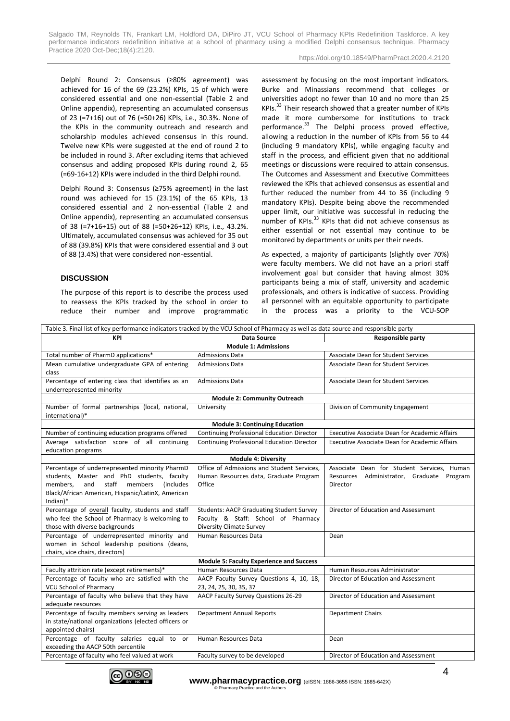Delphi Round 2: Consensus (≥80% agreement) was achieved for 16 of the 69 (23.2%) KPIs, 15 of which were considered essential and one non-essential (Table 2 and Online appendix), representing an accumulated consensus of 23 (=7+16) out of 76 (=50+26) KPIs, i.e., 30.3%. None of the KPIs in the community outreach and research and scholarship modules achieved consensus in this round. Twelve new KPIs were suggested at the end of round 2 to be included in round 3. After excluding items that achieved consensus and adding proposed KPIs during round 2, 65 (=69-16+12) KPIs were included in the third Delphi round.

Delphi Round 3: Consensus (≥75% agreement) in the last round was achieved for 15 (23.1%) of the 65 KPIs, 13 considered essential and 2 non-essential (Table 2 and Online appendix), representing an accumulated consensus of 38 (=7+16+15) out of 88 (=50+26+12) KPIs, i.e., 43.2%. Ultimately, accumulated consensus was achieved for 35 out of 88 (39.8%) KPIs that were considered essential and 3 out of 88 (3.4%) that were considered non-essential.

## **DISCUSSION**

The purpose of this report is to describe the process used to reassess the KPIs tracked by the school in order to reduce their number and improve programmatic assessment by focusing on the most important indicators. Burke and Minassians recommend that colleges or universities adopt no fewer than 10 and no more than 25 KPIs. $^{33}$  Their research showed that a greater number of KPIs made it more cumbersome for institutions to track performance.<sup>33</sup> The Delphi process proved effective, allowing a reduction in the number of KPIs from 56 to 44 (including 9 mandatory KPIs), while engaging faculty and staff in the process, and efficient given that no additional meetings or discussions were required to attain consensus. The Outcomes and Assessment and Executive Committees reviewed the KPIs that achieved consensus as essential and further reduced the number from 44 to 36 (including 9 mandatory KPIs). Despite being above the recommended upper limit, our initiative was successful in reducing the number of KPIs.<sup>33</sup> KPIs that did not achieve consensus as either essential or not essential may continue to be monitored by departments or units per their needs.

As expected, a majority of participants (slightly over 70%) were faculty members. We did not have an a priori staff involvement goal but consider that having almost 30% participants being a mix of staff, university and academic professionals, and others is indicative of success. Providing all personnel with an equitable opportunity to participate in the process was a priority to the VCU-SOP

| Table 3. Final list of key performance indicators tracked by the VCU School of Pharmacy as well as data source and responsible party |                                                   |                                                      |  |  |  |  |  |
|--------------------------------------------------------------------------------------------------------------------------------------|---------------------------------------------------|------------------------------------------------------|--|--|--|--|--|
| KPI                                                                                                                                  | <b>Data Source</b>                                | <b>Responsible party</b>                             |  |  |  |  |  |
| <b>Module 1: Admissions</b>                                                                                                          |                                                   |                                                      |  |  |  |  |  |
| Total number of PharmD applications*                                                                                                 | <b>Admissions Data</b>                            | Associate Dean for Student Services                  |  |  |  |  |  |
| Mean cumulative undergraduate GPA of entering                                                                                        | <b>Admissions Data</b>                            | <b>Associate Dean for Student Services</b>           |  |  |  |  |  |
| class                                                                                                                                |                                                   |                                                      |  |  |  |  |  |
| Percentage of entering class that identifies as an                                                                                   | <b>Admissions Data</b>                            | Associate Dean for Student Services                  |  |  |  |  |  |
| underrepresented minority                                                                                                            |                                                   |                                                      |  |  |  |  |  |
|                                                                                                                                      | <b>Module 2: Community Outreach</b>               |                                                      |  |  |  |  |  |
| Number of formal partnerships (local, national,                                                                                      | University                                        | Division of Community Engagement                     |  |  |  |  |  |
| international)*                                                                                                                      |                                                   |                                                      |  |  |  |  |  |
|                                                                                                                                      | <b>Module 3: Continuing Education</b>             |                                                      |  |  |  |  |  |
| Number of continuing education programs offered                                                                                      | Continuing Professional Education Director        | <b>Executive Associate Dean for Academic Affairs</b> |  |  |  |  |  |
| Average satisfaction score of all continuing                                                                                         | <b>Continuing Professional Education Director</b> | <b>Executive Associate Dean for Academic Affairs</b> |  |  |  |  |  |
| education programs                                                                                                                   |                                                   |                                                      |  |  |  |  |  |
|                                                                                                                                      | <b>Module 4: Diversity</b>                        |                                                      |  |  |  |  |  |
| Percentage of underrepresented minority PharmD                                                                                       | Office of Admissions and Student Services,        | Associate Dean for Student Services, Human           |  |  |  |  |  |
| students, Master and PhD students, faculty                                                                                           | Human Resources data, Graduate Program            | Resources Administrator, Graduate Program            |  |  |  |  |  |
| and staff members (includes<br>members,                                                                                              | Office                                            | Director                                             |  |  |  |  |  |
| Black/African American, Hispanic/LatinX, American                                                                                    |                                                   |                                                      |  |  |  |  |  |
| $Indian)*$                                                                                                                           |                                                   |                                                      |  |  |  |  |  |
| Percentage of overall faculty, students and staff                                                                                    | <b>Students: AACP Graduating Student Survey</b>   | Director of Education and Assessment                 |  |  |  |  |  |
| who feel the School of Pharmacy is welcoming to                                                                                      | Faculty & Staff: School of Pharmacy               |                                                      |  |  |  |  |  |
| those with diverse backgrounds                                                                                                       | <b>Diversity Climate Survey</b>                   |                                                      |  |  |  |  |  |
| Percentage of underrepresented minority and                                                                                          | Human Resources Data                              | Dean                                                 |  |  |  |  |  |
| women in School leadership positions (deans,                                                                                         |                                                   |                                                      |  |  |  |  |  |
| chairs, vice chairs, directors)                                                                                                      |                                                   |                                                      |  |  |  |  |  |
| <b>Module 5: Faculty Experience and Success</b>                                                                                      |                                                   |                                                      |  |  |  |  |  |
| Faculty attrition rate (except retirements)*                                                                                         | Human Resources Data                              | Human Resources Administrator                        |  |  |  |  |  |
| Percentage of faculty who are satisfied with the                                                                                     | AACP Faculty Survey Questions 4, 10, 18,          | Director of Education and Assessment                 |  |  |  |  |  |
| <b>VCU School of Pharmacy</b>                                                                                                        | 23, 24, 25, 30, 35, 37                            |                                                      |  |  |  |  |  |
| Percentage of faculty who believe that they have                                                                                     | AACP Faculty Survey Questions 26-29               | Director of Education and Assessment                 |  |  |  |  |  |
| adequate resources                                                                                                                   |                                                   |                                                      |  |  |  |  |  |
| Percentage of faculty members serving as leaders                                                                                     | <b>Department Annual Reports</b>                  | <b>Department Chairs</b>                             |  |  |  |  |  |
| in state/national organizations (elected officers or                                                                                 |                                                   |                                                      |  |  |  |  |  |
| appointed chairs)                                                                                                                    |                                                   |                                                      |  |  |  |  |  |
| Percentage of faculty salaries equal to or                                                                                           | Human Resources Data                              | Dean                                                 |  |  |  |  |  |
| exceeding the AACP 50th percentile                                                                                                   |                                                   |                                                      |  |  |  |  |  |
| Percentage of faculty who feel valued at work                                                                                        | Faculty survey to be developed                    | Director of Education and Assessment                 |  |  |  |  |  |

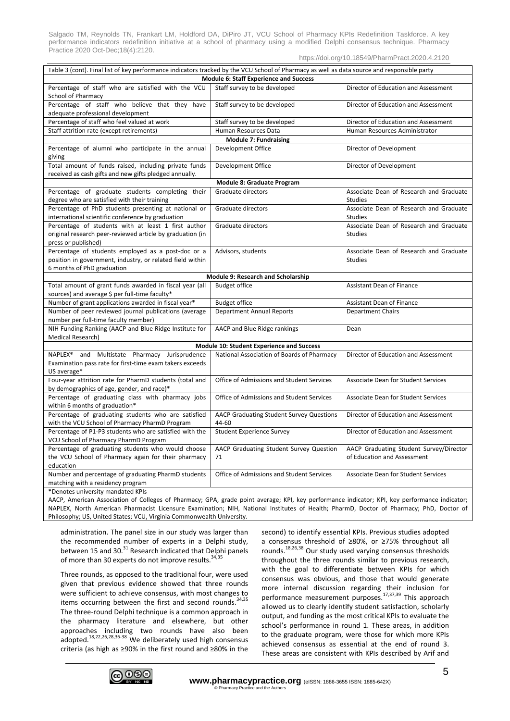Salgado TM, Reynolds TN, Frankart LM, Holdford DA, DiPiro JT, VCU School of Pharmacy KPIs Redefinition Taskforce. A key performance indicators redefinition initiative at a school of pharmacy using a modified Delphi consensus technique. Pharmacy Practice 2020 Oct-Dec;18(4):2120.

| Table 3 (cont). Final list of key performance indicators tracked by the VCU School of Pharmacy as well as data source and responsible party   |                                                          |                                                                        |  |  |  |  |
|-----------------------------------------------------------------------------------------------------------------------------------------------|----------------------------------------------------------|------------------------------------------------------------------------|--|--|--|--|
| Module 6: Staff Experience and Success                                                                                                        |                                                          |                                                                        |  |  |  |  |
| Percentage of staff who are satisfied with the VCU<br>School of Pharmacy                                                                      | Staff survey to be developed                             | Director of Education and Assessment                                   |  |  |  |  |
| Percentage of staff who believe that they have<br>adequate professional development                                                           | Staff survey to be developed                             | Director of Education and Assessment                                   |  |  |  |  |
| Percentage of staff who feel valued at work                                                                                                   | Staff survey to be developed                             | Director of Education and Assessment                                   |  |  |  |  |
| Staff attrition rate (except retirements)                                                                                                     | Human Resources Data                                     | Human Resources Administrator                                          |  |  |  |  |
|                                                                                                                                               | <b>Module 7: Fundraising</b>                             |                                                                        |  |  |  |  |
| Percentage of alumni who participate in the annual<br>giving                                                                                  | Development Office                                       | Director of Development                                                |  |  |  |  |
| Total amount of funds raised, including private funds<br>received as cash gifts and new gifts pledged annually.                               | Development Office                                       | Director of Development                                                |  |  |  |  |
|                                                                                                                                               | Module 8: Graduate Program                               |                                                                        |  |  |  |  |
| Percentage of graduate students completing their<br>degree who are satisfied with their training                                              | Graduate directors                                       | Associate Dean of Research and Graduate<br><b>Studies</b>              |  |  |  |  |
| Percentage of PhD students presenting at national or<br>international scientific conference by graduation                                     | Graduate directors                                       | Associate Dean of Research and Graduate<br><b>Studies</b>              |  |  |  |  |
| Percentage of students with at least 1 first author<br>original research peer-reviewed article by graduation (in<br>press or published)       | Graduate directors                                       | Associate Dean of Research and Graduate<br><b>Studies</b>              |  |  |  |  |
| Percentage of students employed as a post-doc or a<br>position in government, industry, or related field within<br>6 months of PhD graduation | Advisors, students                                       | Associate Dean of Research and Graduate<br><b>Studies</b>              |  |  |  |  |
|                                                                                                                                               | Module 9: Research and Scholarship                       |                                                                        |  |  |  |  |
| Total amount of grant funds awarded in fiscal year (all<br>sources) and average \$ per full-time faculty*                                     | <b>Budget office</b>                                     | <b>Assistant Dean of Finance</b>                                       |  |  |  |  |
| Number of grant applications awarded in fiscal year*                                                                                          | <b>Budget office</b>                                     | Assistant Dean of Finance                                              |  |  |  |  |
| Number of peer reviewed journal publications (average                                                                                         | <b>Department Annual Reports</b>                         | <b>Department Chairs</b>                                               |  |  |  |  |
| number per full-time faculty member)                                                                                                          |                                                          |                                                                        |  |  |  |  |
| NIH Funding Ranking (AACP and Blue Ridge Institute for<br><b>Medical Research)</b>                                                            | AACP and Blue Ridge rankings                             | Dean                                                                   |  |  |  |  |
| Module 10: Student Experience and Success                                                                                                     |                                                          |                                                                        |  |  |  |  |
| NAPLEX <sup>®</sup> and Multistate Pharmacy Jurisprudence<br>Examination pass rate for first-time exam takers exceeds<br>US average*          | National Association of Boards of Pharmacy               | Director of Education and Assessment                                   |  |  |  |  |
| Four-year attrition rate for PharmD students (total and<br>by demographics of age, gender, and race)*                                         | Office of Admissions and Student Services                | Associate Dean for Student Services                                    |  |  |  |  |
| Percentage of graduating class with pharmacy jobs<br>within 6 months of graduation*                                                           | Office of Admissions and Student Services                | Associate Dean for Student Services                                    |  |  |  |  |
| Percentage of graduating students who are satisfied<br>with the VCU School of Pharmacy PharmD Program                                         | <b>AACP Graduating Student Survey Questions</b><br>44-60 | Director of Education and Assessment                                   |  |  |  |  |
| Percentage of P1-P3 students who are satisfied with the<br>VCU School of Pharmacy PharmD Program                                              | <b>Student Experience Survey</b>                         | Director of Education and Assessment                                   |  |  |  |  |
| Percentage of graduating students who would choose<br>the VCU School of Pharmacy again for their pharmacy<br>education                        | AACP Graduating Student Survey Question<br>71            | AACP Graduating Student Survey/Director<br>of Education and Assessment |  |  |  |  |
| Number and percentage of graduating PharmD students<br>matching with a residency program                                                      | <b>Office of Admissions and Student Services</b>         | Associate Dean for Student Services                                    |  |  |  |  |
| *Denotes university mandated KPIs                                                                                                             |                                                          |                                                                        |  |  |  |  |

AACP, American Association of Colleges of Pharmacy; GPA, grade point average; KPI, key performance indicator; KPI, key performance indicator; NAPLEX, North American Pharmacist Licensure Examination; NIH, National Institutes of Health; PharmD, Doctor of Pharmacy; PhD, Doctor of Philosophy; US, United States; VCU, Virginia Commonwealth University.

administration. The panel size in our study was larger than the recommended number of experts in a Delphi study, between 15 and 30.<sup>31</sup> Research indicated that Delphi panels of more than 30 experts do not improve results.<sup>34,35</sup>

Three rounds, as opposed to the traditional four, were used given that previous evidence showed that three rounds were sufficient to achieve consensus, with most changes to items occurring between the first and second rounds.  $34,35$ The three-round Delphi technique is a common approach in the pharmacy literature and elsewhere, but other approaches including two rounds have also been adopted.<sup>18,22,26,28,36-38</sup> We deliberately used high consensus criteria (as high as ≥90% in the first round and ≥80% in the

second) to identify essential KPIs. Previous studies adopted a consensus threshold of ≥80%, or ≥75% throughout all rounds.18,26,38 Our study used varying consensus thresholds throughout the three rounds similar to previous research, with the goal to differentiate between KPIs for which consensus was obvious, and those that would generate more internal discussion regarding their inclusion for performance measurement purposes.<sup>17,37,39</sup> This approach allowed us to clearly identify student satisfaction, scholarly output, and funding as the most critical KPIs to evaluate the school's performance in round 1. These areas, in addition to the graduate program, were those for which more KPIs achieved consensus as essential at the end of round 3. These areas are consistent with KPIs described by Arif and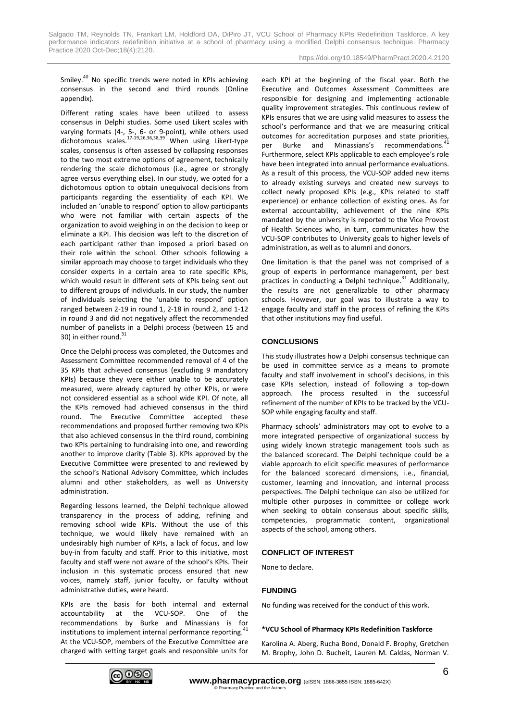Smiley.<sup>40</sup> No specific trends were noted in KPIs achieving consensus in the second and third rounds (Online appendix).

Different rating scales have been utilized to assess consensus in Delphi studies. Some used Likert scales with varying formats (4-, 5-, 6- or 9-point), while others used dichotomous scales.<sup>17-19,26,36,38,39</sup> When using Likert-type scales, consensus is often assessed by collapsing responses to the two most extreme options of agreement, technically rendering the scale dichotomous (i.e., agree or strongly agree versus everything else). In our study, we opted for a dichotomous option to obtain unequivocal decisions from participants regarding the essentiality of each KPI. We included an 'unable to respond' option to allow participants who were not familiar with certain aspects of the organization to avoid weighing in on the decision to keep or eliminate a KPI. This decision was left to the discretion of each participant rather than imposed a priori based on their role within the school. Other schools following a similar approach may choose to target individuals who they consider experts in a certain area to rate specific KPIs, which would result in different sets of KPIs being sent out to different groups of individuals. In our study, the number of individuals selecting the 'unable to respond' option ranged between 2-19 in round 1, 2-18 in round 2, and 1-12 in round 3 and did not negatively affect the recommended number of panelists in a Delphi process (between 15 and 30) in either round.<sup>31</sup>

Once the Delphi process was completed, the Outcomes and Assessment Committee recommended removal of 4 of the 35 KPIs that achieved consensus (excluding 9 mandatory KPIs) because they were either unable to be accurately measured, were already captured by other KPIs, or were not considered essential as a school wide KPI. Of note, all the KPIs removed had achieved consensus in the third round. The Executive Committee accepted these recommendations and proposed further removing two KPIs that also achieved consensus in the third round, combining two KPIs pertaining to fundraising into one, and rewording another to improve clarity (Table 3). KPIs approved by the Executive Committee were presented to and reviewed by the school's National Advisory Committee, which includes alumni and other stakeholders, as well as University administration.

Regarding lessons learned, the Delphi technique allowed transparency in the process of adding, refining and removing school wide KPIs. Without the use of this technique, we would likely have remained with an undesirably high number of KPIs, a lack of focus, and low buy-in from faculty and staff. Prior to this initiative, most faculty and staff were not aware of the school's KPIs. Their inclusion in this systematic process ensured that new voices, namely staff, junior faculty, or faculty without administrative duties, were heard.

KPIs are the basis for both internal and external accountability at the VCU-SOP. One of the recommendations by Burke and Minassians is for institutions to implement internal performance reporting.<sup>41</sup> At the VCU-SOP, members of the Executive Committee are charged with setting target goals and responsible units for each KPI at the beginning of the fiscal year. Both the Executive and Outcomes Assessment Committees are responsible for designing and implementing actionable quality improvement strategies. This continuous review of KPIs ensures that we are using valid measures to assess the school's performance and that we are measuring critical outcomes for accreditation purposes and state priorities, per Burke and Minassians's recommendations.<sup>4</sup> Furthermore, select KPIs applicable to each employee's role have been integrated into annual performance evaluations. As a result of this process, the VCU-SOP added new items to already existing surveys and created new surveys to collect newly proposed KPIs (e.g., KPIs related to staff experience) or enhance collection of existing ones. As for external accountability, achievement of the nine KPIs mandated by the university is reported to the Vice Provost of Health Sciences who, in turn, communicates how the VCU-SOP contributes to University goals to higher levels of administration, as well as to alumni and donors.

One limitation is that the panel was not comprised of a group of experts in performance management, per best practices in conducting a Delphi technique. $31$  Additionally, the results are not generalizable to other pharmacy schools. However, our goal was to illustrate a way to engage faculty and staff in the process of refining the KPIs that other institutions may find useful.

## **CONCLUSIONS**

This study illustrates how a Delphi consensus technique can be used in committee service as a means to promote faculty and staff involvement in school's decisions, in this case KPIs selection, instead of following a top-down approach. The process resulted in the successful refinement of the number of KPIs to be tracked by the VCU-SOP while engaging faculty and staff.

Pharmacy schools' administrators may opt to evolve to a more integrated perspective of organizational success by using widely known strategic management tools such as the balanced scorecard. The Delphi technique could be a viable approach to elicit specific measures of performance for the balanced scorecard dimensions, i.e., financial, customer, learning and innovation, and internal process perspectives. The Delphi technique can also be utilized for multiple other purposes in committee or college work when seeking to obtain consensus about specific skills, competencies, programmatic content, organizational aspects of the school, among others.

## **CONFLICT OF INTEREST**

None to declare.

## **FUNDING**

No funding was received for the conduct of this work.

## **\*VCU School of Pharmacy KPIs Redefinition Taskforce**

Karolina A. Aberg, Rucha Bond, Donald F. Brophy, Gretchen M. Brophy, John D. Bucheit, Lauren M. Caldas, Norman V.

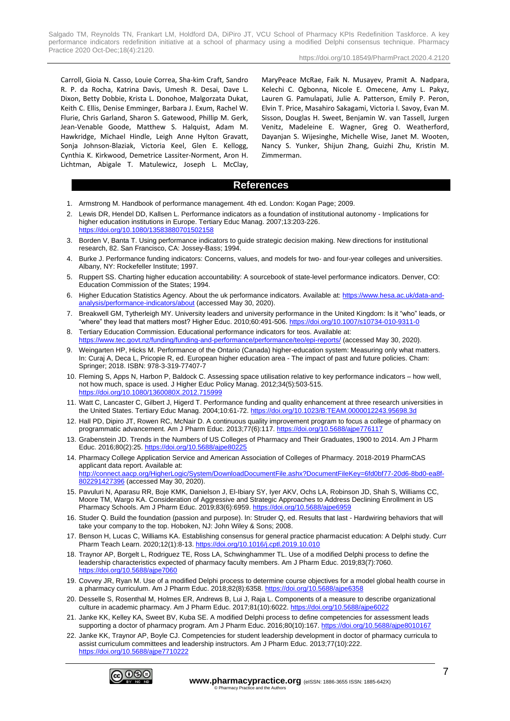Salgado TM, Reynolds TN, Frankart LM, Holdford DA, DiPiro JT, VCU School of Pharmacy KPIs Redefinition Taskforce. A key performance indicators redefinition initiative at a school of pharmacy using a modified Delphi consensus technique. Pharmacy Practice 2020 Oct-Dec;18(4):2120.

https://doi.org/10.18549/PharmPract.2020.4.2120

Carroll, Gioia N. Casso, Louie Correa, Sha-kim Craft, Sandro R. P. da Rocha, Katrina Davis, Umesh R. Desai, Dave L. Dixon, Betty Dobbie, Krista L. Donohoe, Malgorzata Dukat, Keith C. Ellis, Denise Emminger, Barbara J. Exum, Rachel W. Flurie, Chris Garland, Sharon S. Gatewood, Phillip M. Gerk, Jean-Venable Goode, Matthew S. Halquist, Adam M. Hawkridge, Michael Hindle, Leigh Anne Hylton Gravatt, Sonja Johnson-Blaziak, Victoria Keel, Glen E. Kellogg, Cynthia K. Kirkwood, Demetrice Lassiter-Norment, Aron H. Lichtman, Abigale T. Matulewicz, Joseph L. McClay, MaryPeace McRae, Faik N. Musayev, Pramit A. Nadpara, Kelechi C. Ogbonna, Nicole E. Omecene, Amy L. Pakyz, Lauren G. Pamulapati, Julie A. Patterson, Emily P. Peron, Elvin T. Price, Masahiro Sakagami, Victoria I. Savoy, Evan M. Sisson, Douglas H. Sweet, Benjamin W. van Tassell, Jurgen Venitz, Madeleine E. Wagner, Greg O. Weatherford, Dayanjan S. Wijesinghe, Michelle Wise, Janet M. Wooten, Nancy S. Yunker, Shijun Zhang, Guizhi Zhu, Kristin M. Zimmerman.

## **References**

- 1. Armstrong M. Handbook of performance management. 4th ed. London: Kogan Page; 2009.
- 2. Lewis DR, Hendel DD, Kallsen L. Performance indicators as a foundation of institutional autonomy Implications for higher education institutions in Europe. Tertiary Educ Manag. 2007;13:203-226. vs://doi.org/10.1080/13583<u>880701502158</u>
- 3. Borden V, Banta T. Using performance indicators to guide strategic decision making. New directions for institutional research, 82. San Francisco, CA: Jossey-Bass; 1994.
- 4. Burke J. Performance funding indicators: Concerns, values, and models for two- and four-year colleges and universities. Albany, NY: Rockefeller Institute; 1997.
- 5. Ruppert SS. Charting higher education accountability: A sourcebook of state-level performance indicators. Denver, CO: Education Commission of the States; 1994.
- 6. Higher Education Statistics Agency. About the uk performance indicators. Available at: [https://www.hesa.ac.uk/data-and](https://www.hesa.ac.uk/data-and-analysis/performance-indicators/about)[analysis/performance-indicators/about](https://www.hesa.ac.uk/data-and-analysis/performance-indicators/about) (accessed May 30, 2020).
- 7. Breakwell GM, Tytherleigh MY. University leaders and university performance in the United Kingdom: Is it "who" leads, or "where" they lead that matters most? Higher Educ. 2010;60:491-506.<https://doi.org/10.1007/s10734-010-9311-0>
- 8. Tertiary Education Commission. Educational performance indicators for teos. Available at: <https://www.tec.govt.nz/funding/funding-and-performance/performance/teo/epi-reports/> (accessed May 30, 2020).
- 9. Weingarten HP, Hicks M. Performance of the Ontario (Canada) higher-education system: Measuring only what matters. In: Curaj A, Deca L, Pricopie R, ed. European higher education area - The impact of past and future policies. Cham: Springer; 2018. ISBN: 978-3-319-77407-7
- 10. Fleming S, Apps N, Harbon P, Baldock C. Assessing space utilisation relative to key performance indicators how well, not how much, space is used. J Higher Educ Policy Manag. 2012;34(5):503-515. https://doi.org/10.1080/1360080X.2012.71599
- 11. Watt C, Lancaster C, Gilbert J, Higerd T. Performance funding and quality enhancement at three research universities in the United States. Tertiary Educ Manag. 2004;10:61-72.<https://doi.org/10.1023/B:TEAM.0000012243.95698.3d>
- 12. Hall PD, Dipiro JT, Rowen RC, McNair D. A continuous quality improvement program to focus a college of pharmacy on programmatic advancement. Am J Pharm Educ. 2013;77(6):117.<https://doi.org/10.5688/ajpe776117>
- 13. Grabenstein JD. Trends in the Numbers of US Colleges of Pharmacy and Their Graduates, 1900 to 2014. Am J Pharm Educ. 2016;80(2):25.<https://doi.org/10.5688/ajpe80225>
- 14. Pharmacy College Application Service and American Association of Colleges of Pharmacy. 2018-2019 PharmCAS applicant data report. Available at: [http://connect.aacp.org/HigherLogic/System/DownloadDocumentFile.ashx?DocumentFileKey=6fd0bf77-20d6-8bd0-ea8f-](http://connect.aacp.org/HigherLogic/System/DownloadDocumentFile.ashx?DocumentFileKey=6fd0bf77-20d6-8bd0-ea8f-802291427396)[802291427396](http://connect.aacp.org/HigherLogic/System/DownloadDocumentFile.ashx?DocumentFileKey=6fd0bf77-20d6-8bd0-ea8f-802291427396) (accessed May 30, 2020).
- 15. Pavuluri N, Aparasu RR, Boje KMK, Danielson J, El-Ibiary SY, Iyer AKV, Ochs LA, Robinson JD, Shah S, Williams CC, Moore TM, Wargo KA. Consideration of Aggressive and Strategic Approaches to Address Declining Enrollment in US Pharmacy Schools. Am J Pharm Educ. 2019;83(6):6959[. https://doi.org/10.5688/ajpe6959](https://doi.org/10.5688/ajpe6959)
- 16. Studer Q. Build the foundation (passion and purpose). In: Struder Q, ed. Results that last Hardwiring behaviors that will take your company to the top. Hoboken, NJ: John Wiley & Sons; 2008.
- 17. Benson H, Lucas C, Williams KA. Establishing consensus for general practice pharmacist education: A Delphi study. Curr Pharm Teach Learn. 2020;12(1):8-13[. https://doi.org/10.1016/j.cptl.2019.10.010](https://doi.org/10.1016/j.cptl.2019.10.010)
- 18. Traynor AP, Borgelt L, Rodriguez TE, Ross LA, Schwinghammer TL. Use of a modified Delphi process to define the leadership characteristics expected of pharmacy faculty members. Am J Pharm Educ. 2019;83(7):7060. <https://doi.org/10.5688/ajpe7060>
- 19. Covvey JR, Ryan M. Use of a modified Delphi process to determine course objectives for a model global health course in a pharmacy curriculum. Am J Pharm Educ. 2018;82(8):6358[. https://doi.org/10.5688/ajpe6358](https://doi.org/10.5688/ajpe6358)
- 20. Desselle S, Rosenthal M, Holmes ER, Andrews B, Lui J, Raja L. Components of a measure to describe organizational culture in academic pharmacy. Am J Pharm Educ. 2017;81(10):6022. https://doi.org/10.5688/ajpe602.
- 21. Janke KK, Kelley KA, Sweet BV, Kuba SE. A modified Delphi process to define competencies for assessment leads supporting a doctor of pharmacy program. Am J Pharm Educ. 2016;80(10):167[. https://doi.org/10.5688/ajpe8010167](https://doi.org/10.5688/ajpe8010167)
- 22. Janke KK, Traynor AP, Boyle CJ. Competencies for student leadership development in doctor of pharmacy curricula to assist curriculum committees and leadership instructors. Am J Pharm Educ. 2013;77(10):222. <https://doi.org/10.5688/ajpe7710222>